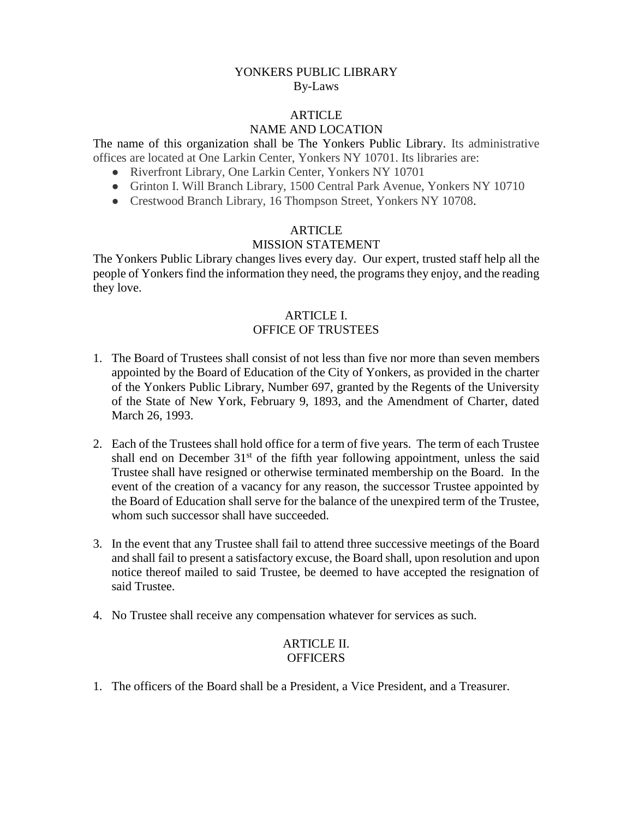# YONKERS PUBLIC LIBRARY By-Laws

#### ARTICLE

# NAME AND LOCATION

The name of this organization shall be The Yonkers Public Library. Its administrative offices are located at One Larkin Center, Yonkers NY 10701. Its libraries are:

- Riverfront Library, One Larkin Center, Yonkers NY 10701
- Grinton I. Will Branch Library, 1500 Central Park Avenue, Yonkers NY 10710
- Crestwood Branch Library, 16 Thompson Street, Yonkers NY 10708.

#### **ARTICLE**

#### MISSION STATEMENT

The Yonkers Public Library changes lives every day. Our expert, trusted staff help all the people of Yonkers find the information they need, the programs they enjoy, and the reading they love.

#### ARTICLE I. OFFICE OF TRUSTEES

- 1. The Board of Trustees shall consist of not less than five nor more than seven members appointed by the Board of Education of the City of Yonkers, as provided in the charter of the Yonkers Public Library, Number 697, granted by the Regents of the University of the State of New York, February 9, 1893, and the Amendment of Charter, dated March 26, 1993.
- 2. Each of the Trustees shall hold office for a term of five years. The term of each Trustee shall end on December  $31<sup>st</sup>$  of the fifth year following appointment, unless the said Trustee shall have resigned or otherwise terminated membership on the Board. In the event of the creation of a vacancy for any reason, the successor Trustee appointed by the Board of Education shall serve for the balance of the unexpired term of the Trustee, whom such successor shall have succeeded.
- 3. In the event that any Trustee shall fail to attend three successive meetings of the Board and shall fail to present a satisfactory excuse, the Board shall, upon resolution and upon notice thereof mailed to said Trustee, be deemed to have accepted the resignation of said Trustee.
- 4. No Trustee shall receive any compensation whatever for services as such.

### ARTICLE II. **OFFICERS**

1. The officers of the Board shall be a President, a Vice President, and a Treasurer.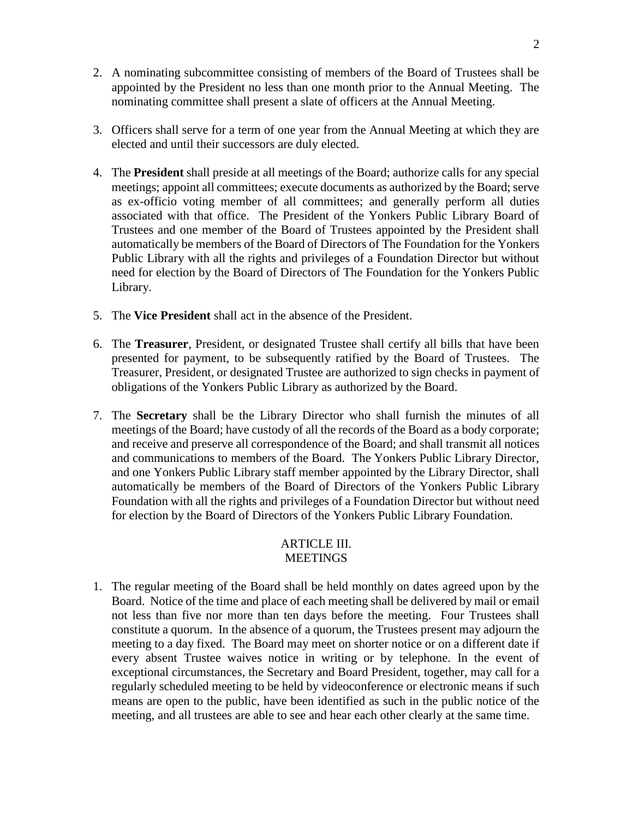- 2. A nominating subcommittee consisting of members of the Board of Trustees shall be appointed by the President no less than one month prior to the Annual Meeting. The nominating committee shall present a slate of officers at the Annual Meeting.
- 3. Officers shall serve for a term of one year from the Annual Meeting at which they are elected and until their successors are duly elected.
- 4. The **President** shall preside at all meetings of the Board; authorize calls for any special meetings; appoint all committees; execute documents as authorized by the Board; serve as ex-officio voting member of all committees; and generally perform all duties associated with that office. The President of the Yonkers Public Library Board of Trustees and one member of the Board of Trustees appointed by the President shall automatically be members of the Board of Directors of The Foundation for the Yonkers Public Library with all the rights and privileges of a Foundation Director but without need for election by the Board of Directors of The Foundation for the Yonkers Public Library.
- 5. The **Vice President** shall act in the absence of the President.
- 6. The **Treasurer**, President, or designated Trustee shall certify all bills that have been presented for payment, to be subsequently ratified by the Board of Trustees. The Treasurer, President, or designated Trustee are authorized to sign checks in payment of obligations of the Yonkers Public Library as authorized by the Board.
- 7. The **Secretary** shall be the Library Director who shall furnish the minutes of all meetings of the Board; have custody of all the records of the Board as a body corporate; and receive and preserve all correspondence of the Board; and shall transmit all notices and communications to members of the Board. The Yonkers Public Library Director, and one Yonkers Public Library staff member appointed by the Library Director, shall automatically be members of the Board of Directors of the Yonkers Public Library Foundation with all the rights and privileges of a Foundation Director but without need for election by the Board of Directors of the Yonkers Public Library Foundation.

#### ARTICLE III. MEETINGS

1. The regular meeting of the Board shall be held monthly on dates agreed upon by the Board. Notice of the time and place of each meeting shall be delivered by mail or email not less than five nor more than ten days before the meeting. Four Trustees shall constitute a quorum. In the absence of a quorum, the Trustees present may adjourn the meeting to a day fixed. The Board may meet on shorter notice or on a different date if every absent Trustee waives notice in writing or by telephone. In the event of exceptional circumstances, the Secretary and Board President, together, may call for a regularly scheduled meeting to be held by videoconference or electronic means if such means are open to the public, have been identified as such in the public notice of the meeting, and all trustees are able to see and hear each other clearly at the same time.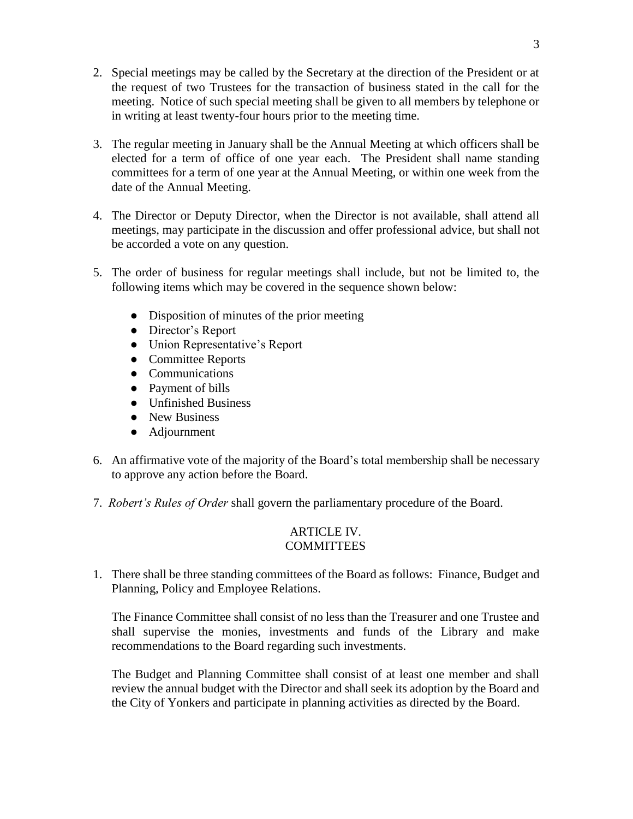- 2. Special meetings may be called by the Secretary at the direction of the President or at the request of two Trustees for the transaction of business stated in the call for the meeting. Notice of such special meeting shall be given to all members by telephone or in writing at least twenty-four hours prior to the meeting time.
- 3. The regular meeting in January shall be the Annual Meeting at which officers shall be elected for a term of office of one year each. The President shall name standing committees for a term of one year at the Annual Meeting, or within one week from the date of the Annual Meeting.
- 4. The Director or Deputy Director, when the Director is not available, shall attend all meetings, may participate in the discussion and offer professional advice, but shall not be accorded a vote on any question.
- 5. The order of business for regular meetings shall include, but not be limited to, the following items which may be covered in the sequence shown below:
	- Disposition of minutes of the prior meeting
	- Director's Report
	- Union Representative's Report
	- Committee Reports
	- Communications
	- Payment of bills
	- Unfinished Business
	- New Business
	- Adjournment
- 6. An affirmative vote of the majority of the Board's total membership shall be necessary to approve any action before the Board.
- 7. *Robert's Rules of Order* shall govern the parliamentary procedure of the Board.

# ARTICLE IV. **COMMITTEES**

1. There shall be three standing committees of the Board as follows: Finance, Budget and Planning, Policy and Employee Relations.

The Finance Committee shall consist of no less than the Treasurer and one Trustee and shall supervise the monies, investments and funds of the Library and make recommendations to the Board regarding such investments.

The Budget and Planning Committee shall consist of at least one member and shall review the annual budget with the Director and shall seek its adoption by the Board and the City of Yonkers and participate in planning activities as directed by the Board.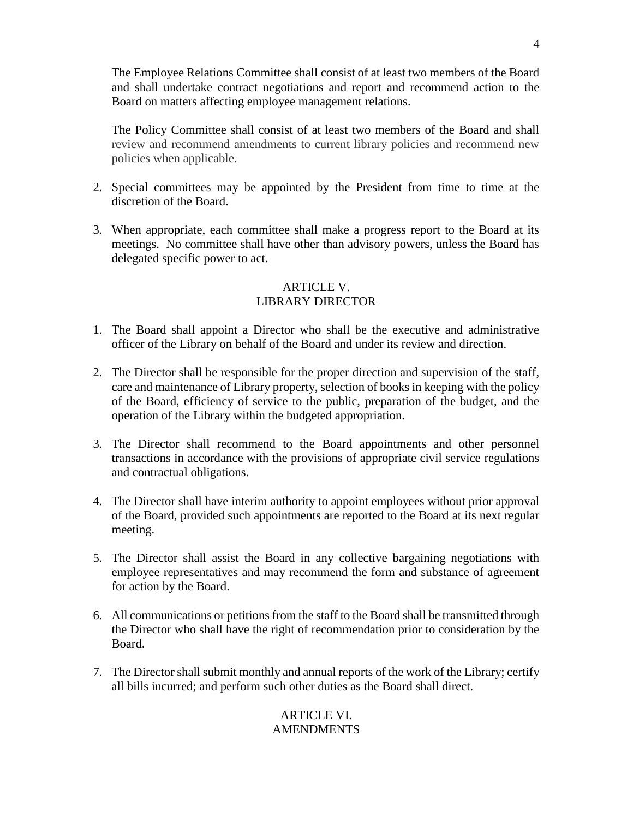The Employee Relations Committee shall consist of at least two members of the Board and shall undertake contract negotiations and report and recommend action to the Board on matters affecting employee management relations.

The Policy Committee shall consist of at least two members of the Board and shall review and recommend amendments to current library policies and recommend new policies when applicable.

- 2. Special committees may be appointed by the President from time to time at the discretion of the Board.
- 3. When appropriate, each committee shall make a progress report to the Board at its meetings. No committee shall have other than advisory powers, unless the Board has delegated specific power to act.

# ARTICLE V. LIBRARY DIRECTOR

- 1. The Board shall appoint a Director who shall be the executive and administrative officer of the Library on behalf of the Board and under its review and direction.
- 2. The Director shall be responsible for the proper direction and supervision of the staff, care and maintenance of Library property, selection of books in keeping with the policy of the Board, efficiency of service to the public, preparation of the budget, and the operation of the Library within the budgeted appropriation.
- 3. The Director shall recommend to the Board appointments and other personnel transactions in accordance with the provisions of appropriate civil service regulations and contractual obligations.
- 4. The Director shall have interim authority to appoint employees without prior approval of the Board, provided such appointments are reported to the Board at its next regular meeting.
- 5. The Director shall assist the Board in any collective bargaining negotiations with employee representatives and may recommend the form and substance of agreement for action by the Board.
- 6. All communications or petitions from the staff to the Board shall be transmitted through the Director who shall have the right of recommendation prior to consideration by the Board.
- 7. The Director shall submit monthly and annual reports of the work of the Library; certify all bills incurred; and perform such other duties as the Board shall direct.

# ARTICLE VI. AMENDMENTS